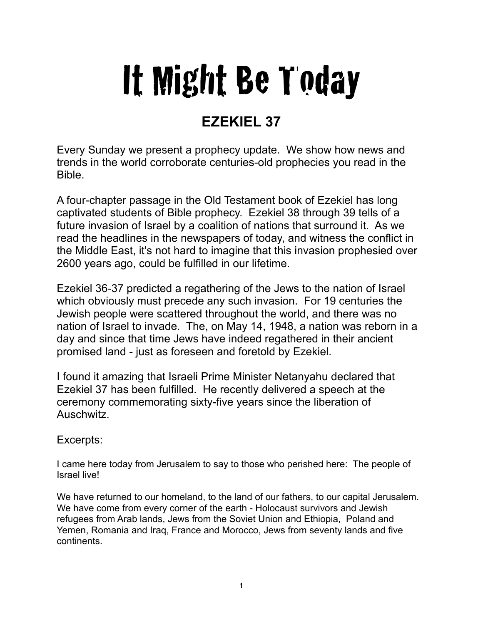## It Might Be Today

## **EZEKIEL 37**

Every Sunday we present a prophecy update. We show how news and trends in the world corroborate centuries-old prophecies you read in the Bible.

A four-chapter passage in the Old Testament book of Ezekiel has long captivated students of Bible prophecy. Ezekiel 38 through 39 tells of a future invasion of Israel by a coalition of nations that surround it. As we read the headlines in the newspapers of today, and witness the conflict in the Middle East, it's not hard to imagine that this invasion prophesied over 2600 years ago, could be fulfilled in our lifetime.

Ezekiel 36-37 predicted a regathering of the Jews to the nation of Israel which obviously must precede any such invasion. For 19 centuries the Jewish people were scattered throughout the world, and there was no nation of Israel to invade. The, on May 14, 1948, a nation was reborn in a day and since that time Jews have indeed regathered in their ancient promised land - just as foreseen and foretold by Ezekiel.

I found it amazing that Israeli Prime Minister Netanyahu declared that Ezekiel 37 has been fulfilled. He recently delivered a speech at the ceremony commemorating sixty-five years since the liberation of Auschwitz.

## Excerpts:

I came here today from Jerusalem to say to those who perished here: The people of Israel live!

We have returned to our homeland, to the land of our fathers, to our capital Jerusalem. We have come from every corner of the earth - Holocaust survivors and Jewish refugees from Arab lands, Jews from the Soviet Union and Ethiopia, Poland and Yemen, Romania and Iraq, France and Morocco, Jews from seventy lands and five continents.